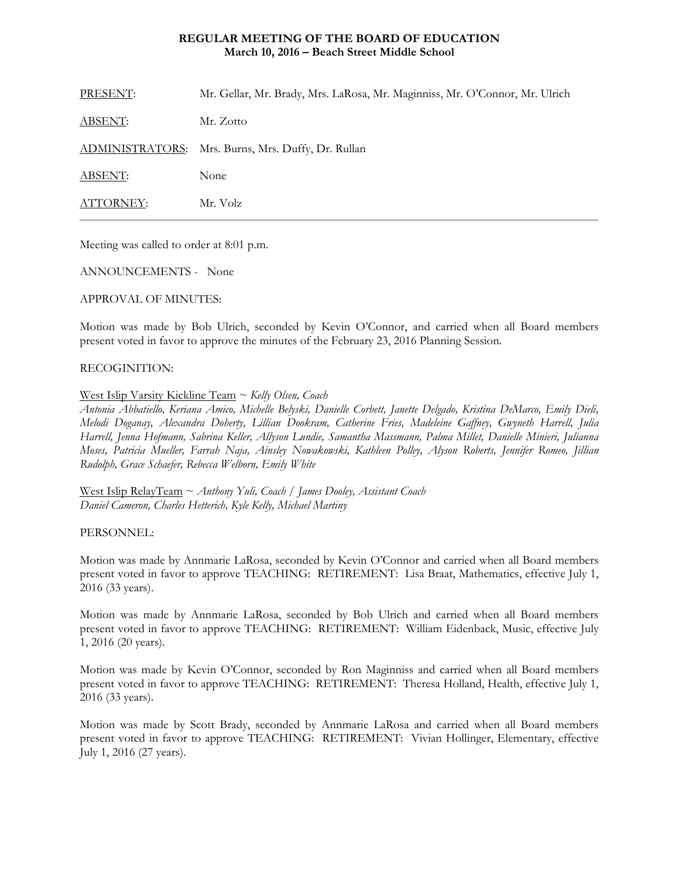# **REGULAR MEETING OF THE BOARD OF EDUCATION March 10, 2016 – Beach Street Middle School**

| ATTORNEY:      | Mr. Volz                                                                    |
|----------------|-----------------------------------------------------------------------------|
| <b>ABSENT:</b> | None                                                                        |
|                | ADMINISTRATORS: Mrs. Burns, Mrs. Duffy, Dr. Rullan                          |
| <b>ABSENT:</b> | Mr. Zotto                                                                   |
| PRESENT:       | Mr. Gellar, Mr. Brady, Mrs. LaRosa, Mr. Maginniss, Mr. O'Connor, Mr. Ulrich |

Meeting was called to order at 8:01 p.m.

ANNOUNCEMENTS - None

## APPROVAL OF MINUTES:

Motion was made by Bob Ulrich, seconded by Kevin O'Connor, and carried when all Board members present voted in favor to approve the minutes of the February 23, 2016 Planning Session.

## RECOGINITION:

## West Islip Varsity Kickline Team ~ *Kelly Olsen, Coach*

*Antonia Abbatiello, Keriana Amico, Michelle Belyski, Danielle Corbett, Janette Delgado, Kristina DeMarco, Emily Dieli, Melodi Doganay, Alexandra Doherty, Lillian Dookram, Catherine Fries, Madeleine Gaffney, Gwyneth Harrell, Julia Harrell, Jenna Hofmann, Sabrina Keller, Allyson Lundie, Samantha Massmann, Palma Millet, Danielle Minieri, Julianna Moses, Patricia Mueller, Farrah Naja, Ainsley Nowakowski, Kathleen Polley, Alyson Roberts, Jennifer Romeo, Jillian Rudolph, Grace Schaefer, Rebecca Welborn, Emily White* 

West Islip RelayTeam ~ *Anthony Yuli, Coach / James Dooley, Assistant Coach Daniel Cameron, Charles Hetterich, Kyle Kelly, Michael Martiny* 

#### PERSONNEL:

Motion was made by Annmarie LaRosa, seconded by Kevin O'Connor and carried when all Board members present voted in favor to approve TEACHING: RETIREMENT: Lisa Braat, Mathematics, effective July 1, 2016 (33 years).

Motion was made by Annmarie LaRosa, seconded by Bob Ulrich and carried when all Board members present voted in favor to approve TEACHING: RETIREMENT: William Eidenback, Music, effective July 1, 2016 (20 years).

Motion was made by Kevin O'Connor, seconded by Ron Maginniss and carried when all Board members present voted in favor to approve TEACHING: RETIREMENT: Theresa Holland, Health, effective July 1, 2016 (33 years).

Motion was made by Scott Brady, seconded by Annmarie LaRosa and carried when all Board members present voted in favor to approve TEACHING: RETIREMENT: Vivian Hollinger, Elementary, effective July 1, 2016 (27 years).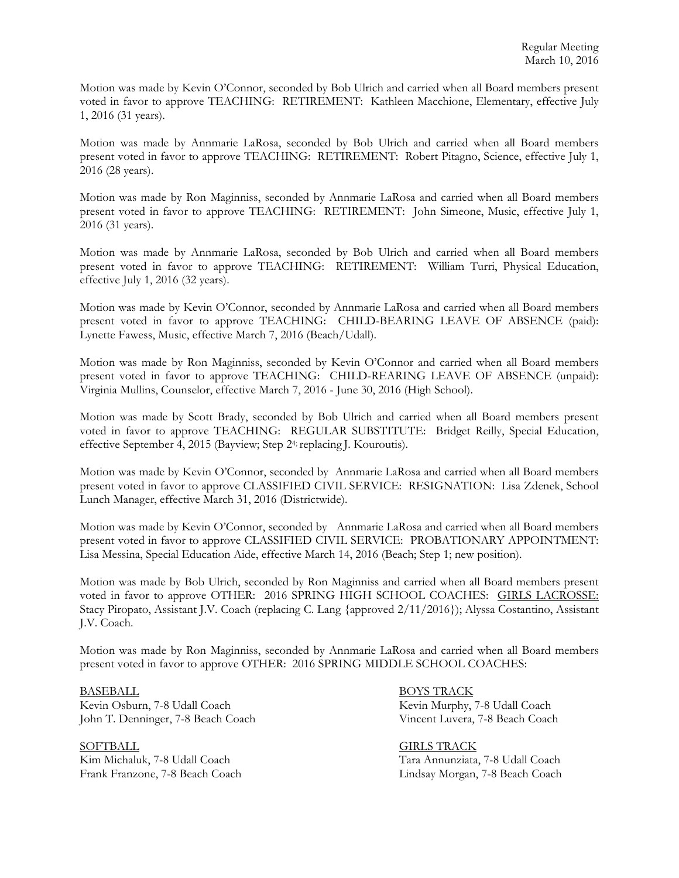Motion was made by Kevin O'Connor, seconded by Bob Ulrich and carried when all Board members present voted in favor to approve TEACHING: RETIREMENT: Kathleen Macchione, Elementary, effective July 1, 2016 (31 years).

Motion was made by Annmarie LaRosa, seconded by Bob Ulrich and carried when all Board members present voted in favor to approve TEACHING: RETIREMENT: Robert Pitagno, Science, effective July 1, 2016 (28 years).

Motion was made by Ron Maginniss, seconded by Annmarie LaRosa and carried when all Board members present voted in favor to approve TEACHING: RETIREMENT: John Simeone, Music, effective July 1, 2016 (31 years).

Motion was made by Annmarie LaRosa, seconded by Bob Ulrich and carried when all Board members present voted in favor to approve TEACHING: RETIREMENT: William Turri, Physical Education, effective July 1, 2016 (32 years).

Motion was made by Kevin O'Connor, seconded by Annmarie LaRosa and carried when all Board members present voted in favor to approve TEACHING: CHILD-BEARING LEAVE OF ABSENCE (paid): Lynette Fawess, Music, effective March 7, 2016 (Beach/Udall).

Motion was made by Ron Maginniss, seconded by Kevin O'Connor and carried when all Board members present voted in favor to approve TEACHING: CHILD-REARING LEAVE OF ABSENCE (unpaid): Virginia Mullins, Counselor, effective March 7, 2016 - June 30, 2016 (High School).

Motion was made by Scott Brady, seconded by Bob Ulrich and carried when all Board members present voted in favor to approve TEACHING: REGULAR SUBSTITUTE: Bridget Reilly, Special Education, effective September 4, 2015 (Bayview; Step 24; replacing J. Kouroutis).

Motion was made by Kevin O'Connor, seconded by Annmarie LaRosa and carried when all Board members present voted in favor to approve CLASSIFIED CIVIL SERVICE: RESIGNATION: Lisa Zdenek, School Lunch Manager, effective March 31, 2016 (Districtwide).

Motion was made by Kevin O'Connor, seconded by Annmarie LaRosa and carried when all Board members present voted in favor to approve CLASSIFIED CIVIL SERVICE: PROBATIONARY APPOINTMENT: Lisa Messina, Special Education Aide, effective March 14, 2016 (Beach; Step 1; new position).

Motion was made by Bob Ulrich, seconded by Ron Maginniss and carried when all Board members present voted in favor to approve OTHER: 2016 SPRING HIGH SCHOOL COACHES: GIRLS LACROSSE: Stacy Piropato, Assistant J.V. Coach (replacing C. Lang {approved 2/11/2016}); Alyssa Costantino, Assistant J.V. Coach.

Motion was made by Ron Maginniss, seconded by Annmarie LaRosa and carried when all Board members present voted in favor to approve OTHER: 2016 SPRING MIDDLE SCHOOL COACHES:

BASEBALL BOYS TRACK Kevin Osburn, 7-8 Udall Coach Kevin Murphy, 7-8 Udall Coach John T. Denninger, 7-8 Beach Coach Vincent Luvera, 7-8 Beach Coach

SOFTBALL GIRLS TRACK

Kim Michaluk, 7-8 Udall Coach Tara Annunziata, 7-8 Udall Coach Frank Franzone, 7-8 Beach Coach Lindsay Morgan, 7-8 Beach Coach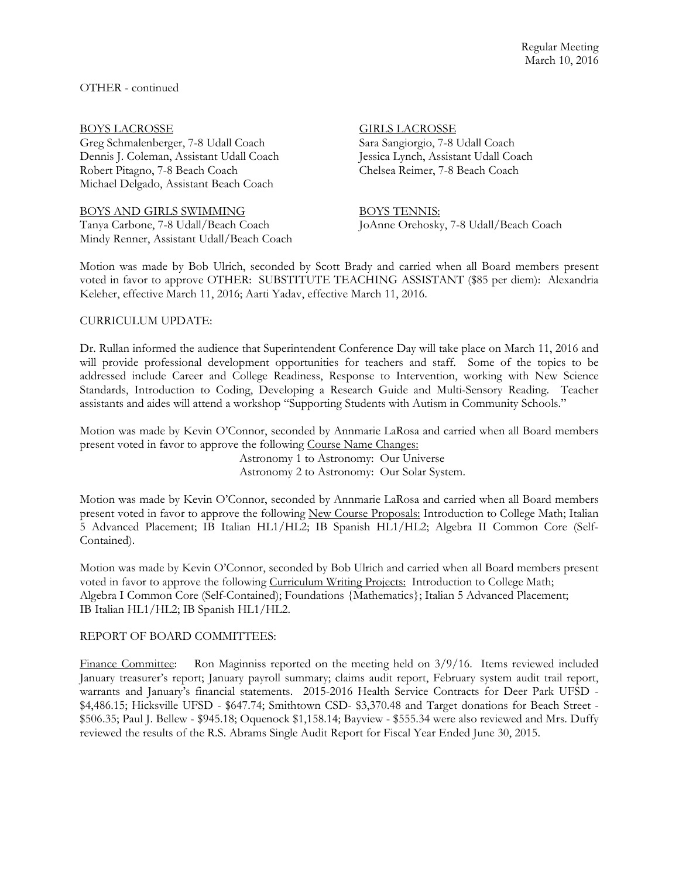OTHER - continued

Greg Schmalenberger, 7-8 Udall Coach Dennis J. Coleman, Assistant Udall Coach Jessica Lynch, Assistant Udall Coach Robert Pitagno, 7-8 Beach Coach Coach Chelsea Reimer, 7-8 Beach Coach Michael Delgado, Assistant Beach Coach

BOYS AND GIRLS SWIMMING BOYS TENNIS:

Mindy Renner, Assistant Udall/Beach Coach

# BOYS LACROSSE<br>Greg Schmalenberger, 7-8 Udall Coach Sara Sangiorgio, 7-8 Udall Coach

Tanya Carbone, 7-8 Udall/Beach Coach JoAnne Orehosky, 7-8 Udall/Beach Coach

Motion was made by Bob Ulrich, seconded by Scott Brady and carried when all Board members present voted in favor to approve OTHER: SUBSTITUTE TEACHING ASSISTANT (\$85 per diem): Alexandria Keleher, effective March 11, 2016; Aarti Yadav, effective March 11, 2016.

# CURRICULUM UPDATE:

Dr. Rullan informed the audience that Superintendent Conference Day will take place on March 11, 2016 and will provide professional development opportunities for teachers and staff. Some of the topics to be addressed include Career and College Readiness, Response to Intervention, working with New Science Standards, Introduction to Coding, Developing a Research Guide and Multi-Sensory Reading. Teacher assistants and aides will attend a workshop "Supporting Students with Autism in Community Schools."

Motion was made by Kevin O'Connor, seconded by Annmarie LaRosa and carried when all Board members present voted in favor to approve the following Course Name Changes:

> Astronomy 1 to Astronomy: Our Universe Astronomy 2 to Astronomy: Our Solar System.

Motion was made by Kevin O'Connor, seconded by Annmarie LaRosa and carried when all Board members present voted in favor to approve the following New Course Proposals: Introduction to College Math; Italian 5 Advanced Placement; IB Italian HL1/HL2; IB Spanish HL1/HL2; Algebra II Common Core (Self-Contained).

Motion was made by Kevin O'Connor, seconded by Bob Ulrich and carried when all Board members present voted in favor to approve the following Curriculum Writing Projects: Introduction to College Math; Algebra I Common Core (Self-Contained); Foundations {Mathematics}; Italian 5 Advanced Placement; IB Italian HL1/HL2; IB Spanish HL1/HL2.

# REPORT OF BOARD COMMITTEES:

Finance Committee: Ron Maginniss reported on the meeting held on 3/9/16. Items reviewed included January treasurer's report; January payroll summary; claims audit report, February system audit trail report, warrants and January's financial statements. 2015-2016 Health Service Contracts for Deer Park UFSD - \$4,486.15; Hicksville UFSD - \$647.74; Smithtown CSD- \$3,370.48 and Target donations for Beach Street - \$506.35; Paul J. Bellew - \$945.18; Oquenock \$1,158.14; Bayview - \$555.34 were also reviewed and Mrs. Duffy reviewed the results of the R.S. Abrams Single Audit Report for Fiscal Year Ended June 30, 2015.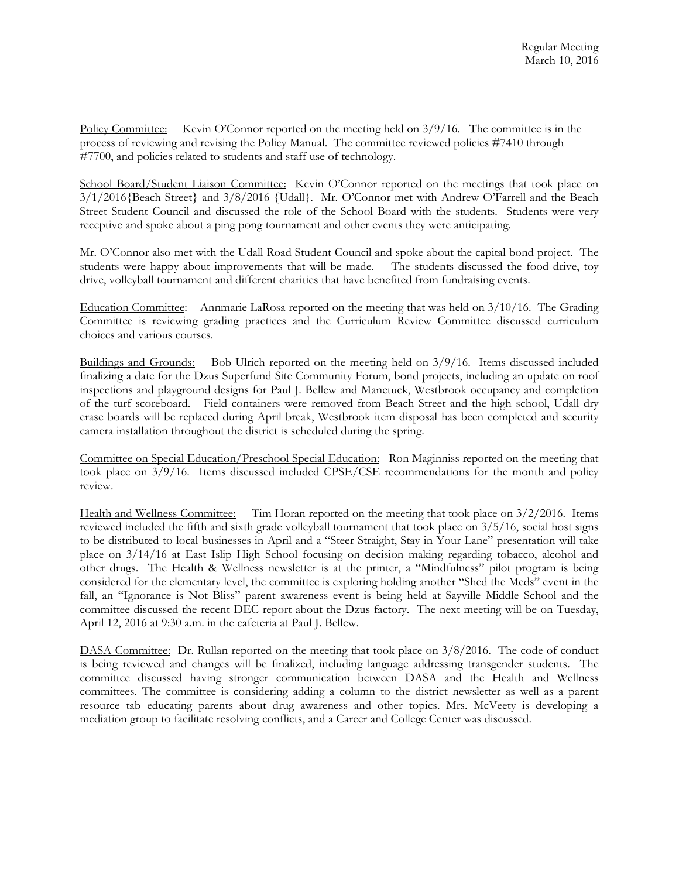Policy Committee: Kevin O'Connor reported on the meeting held on 3/9/16. The committee is in the process of reviewing and revising the Policy Manual. The committee reviewed policies #7410 through #7700, and policies related to students and staff use of technology.

School Board/Student Liaison Committee: Kevin O'Connor reported on the meetings that took place on 3/1/2016{Beach Street} and 3/8/2016 {Udall}. Mr. O'Connor met with Andrew O'Farrell and the Beach Street Student Council and discussed the role of the School Board with the students. Students were very receptive and spoke about a ping pong tournament and other events they were anticipating.

Mr. O'Connor also met with the Udall Road Student Council and spoke about the capital bond project. The students were happy about improvements that will be made. The students discussed the food drive, toy drive, volleyball tournament and different charities that have benefited from fundraising events.

Education Committee: Annmarie LaRosa reported on the meeting that was held on 3/10/16. The Grading Committee is reviewing grading practices and the Curriculum Review Committee discussed curriculum choices and various courses.

Buildings and Grounds: Bob Ulrich reported on the meeting held on 3/9/16. Items discussed included finalizing a date for the Dzus Superfund Site Community Forum, bond projects, including an update on roof inspections and playground designs for Paul J. Bellew and Manetuck, Westbrook occupancy and completion of the turf scoreboard. Field containers were removed from Beach Street and the high school, Udall dry erase boards will be replaced during April break, Westbrook item disposal has been completed and security camera installation throughout the district is scheduled during the spring.

Committee on Special Education/Preschool Special Education: Ron Maginniss reported on the meeting that took place on 3/9/16. Items discussed included CPSE/CSE recommendations for the month and policy review.

Health and Wellness Committee: Tim Horan reported on the meeting that took place on 3/2/2016. Items reviewed included the fifth and sixth grade volleyball tournament that took place on 3/5/16, social host signs to be distributed to local businesses in April and a "Steer Straight, Stay in Your Lane" presentation will take place on 3/14/16 at East Islip High School focusing on decision making regarding tobacco, alcohol and other drugs. The Health & Wellness newsletter is at the printer, a "Mindfulness" pilot program is being considered for the elementary level, the committee is exploring holding another "Shed the Meds" event in the fall, an "Ignorance is Not Bliss" parent awareness event is being held at Sayville Middle School and the committee discussed the recent DEC report about the Dzus factory. The next meeting will be on Tuesday, April 12, 2016 at 9:30 a.m. in the cafeteria at Paul J. Bellew.

DASA Committee: Dr. Rullan reported on the meeting that took place on  $3/8/2016$ . The code of conduct is being reviewed and changes will be finalized, including language addressing transgender students. The committee discussed having stronger communication between DASA and the Health and Wellness committees. The committee is considering adding a column to the district newsletter as well as a parent resource tab educating parents about drug awareness and other topics. Mrs. McVeety is developing a mediation group to facilitate resolving conflicts, and a Career and College Center was discussed.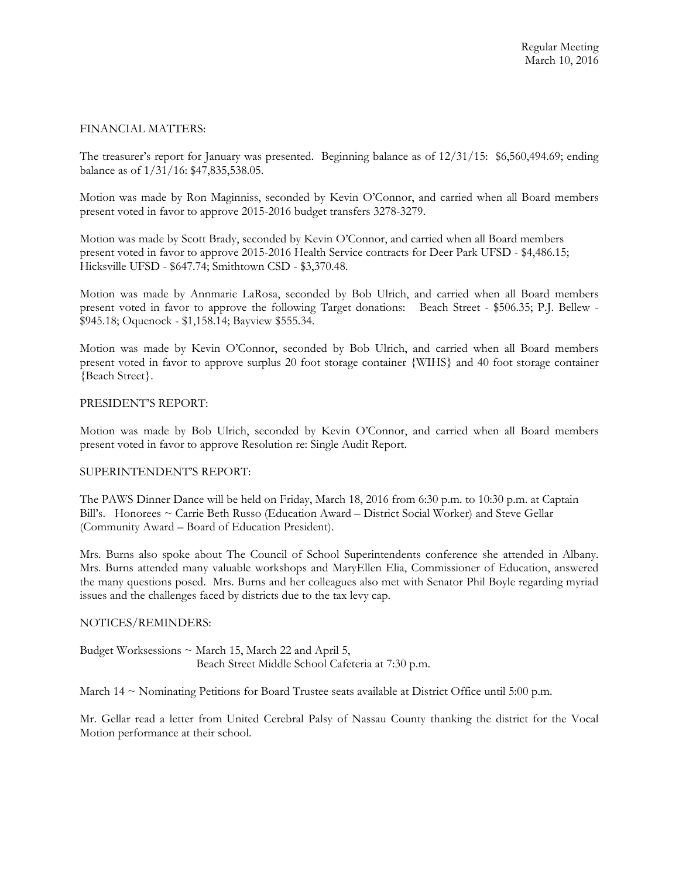# FINANCIAL MATTERS:

The treasurer's report for January was presented. Beginning balance as of 12/31/15: \$6,560,494.69; ending balance as of 1/31/16: \$47,835,538.05.

Motion was made by Ron Maginniss, seconded by Kevin O'Connor, and carried when all Board members present voted in favor to approve 2015-2016 budget transfers 3278-3279.

Motion was made by Scott Brady, seconded by Kevin O'Connor, and carried when all Board members present voted in favor to approve 2015-2016 Health Service contracts for Deer Park UFSD - \$4,486.15; Hicksville UFSD - \$647.74; Smithtown CSD - \$3,370.48.

Motion was made by Annmarie LaRosa, seconded by Bob Ulrich, and carried when all Board members present voted in favor to approve the following Target donations: Beach Street - \$506.35; P.J. Bellew - \$945.18; Oquenock - \$1,158.14; Bayview \$555.34.

Motion was made by Kevin O'Connor, seconded by Bob Ulrich, and carried when all Board members present voted in favor to approve surplus 20 foot storage container {WIHS} and 40 foot storage container {Beach Street}.

## PRESIDENT'S REPORT:

Motion was made by Bob Ulrich, seconded by Kevin O'Connor, and carried when all Board members present voted in favor to approve Resolution re: Single Audit Report.

# SUPERINTENDENT'S REPORT:

The PAWS Dinner Dance will be held on Friday, March 18, 2016 from 6:30 p.m. to 10:30 p.m. at Captain Bill's. Honorees ~ Carrie Beth Russo (Education Award – District Social Worker) and Steve Gellar (Community Award – Board of Education President).

Mrs. Burns also spoke about The Council of School Superintendents conference she attended in Albany. Mrs. Burns attended many valuable workshops and MaryEllen Elia, Commissioner of Education, answered the many questions posed. Mrs. Burns and her colleagues also met with Senator Phil Boyle regarding myriad issues and the challenges faced by districts due to the tax levy cap.

# NOTICES/REMINDERS:

Budget Worksessions  $\sim$  March 15, March 22 and April 5, Beach Street Middle School Cafeteria at 7:30 p.m.

March 14  $\sim$  Nominating Petitions for Board Trustee seats available at District Office until 5:00 p.m.

Mr. Gellar read a letter from United Cerebral Palsy of Nassau County thanking the district for the Vocal Motion performance at their school.